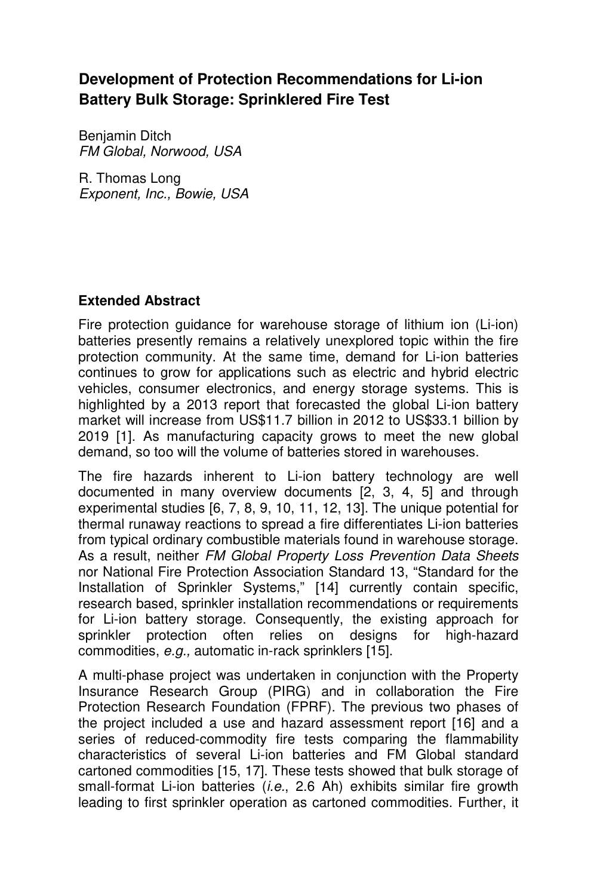## **Development of Protection Recommendations for Li-ion Battery Bulk Storage: Sprinklered Fire Test**

Benjamin Ditch FM Global, Norwood, USA

R. Thomas Long Exponent, Inc., Bowie, USA

## **Extended Abstract**

Fire protection guidance for warehouse storage of lithium ion (Li-ion) batteries presently remains a relatively unexplored topic within the fire protection community. At the same time, demand for Li-ion batteries continues to grow for applications such as electric and hybrid electric vehicles, consumer electronics, and energy storage systems. This is highlighted by a 2013 report that forecasted the global Li-ion battery market will increase from US\$11.7 billion in 2012 to US\$33.1 billion by 2019 [1]. As manufacturing capacity grows to meet the new global demand, so too will the volume of batteries stored in warehouses.

The fire hazards inherent to Li-ion battery technology are well documented in many overview documents [2, 3, 4, 5] and through experimental studies [6, 7, 8, 9, 10, 11, 12, 13]. The unique potential for thermal runaway reactions to spread a fire differentiates Li-ion batteries from typical ordinary combustible materials found in warehouse storage. As a result, neither FM Global Property Loss Prevention Data Sheets nor National Fire Protection Association Standard 13, "Standard for the Installation of Sprinkler Systems," [14] currently contain specific, research based, sprinkler installation recommendations or requirements for Li-ion battery storage. Consequently, the existing approach for sprinkler protection often relies on designs for high-hazard commodities, e.g., automatic in-rack sprinklers [15].

A multi-phase project was undertaken in conjunction with the Property Insurance Research Group (PIRG) and in collaboration the Fire Protection Research Foundation (FPRF). The previous two phases of the project included a use and hazard assessment report [16] and a series of reduced-commodity fire tests comparing the flammability characteristics of several Li-ion batteries and FM Global standard cartoned commodities [15, 17]. These tests showed that bulk storage of small-format Li-ion batteries (*i.e.*, 2.6 Ah) exhibits similar fire growth leading to first sprinkler operation as cartoned commodities. Further, it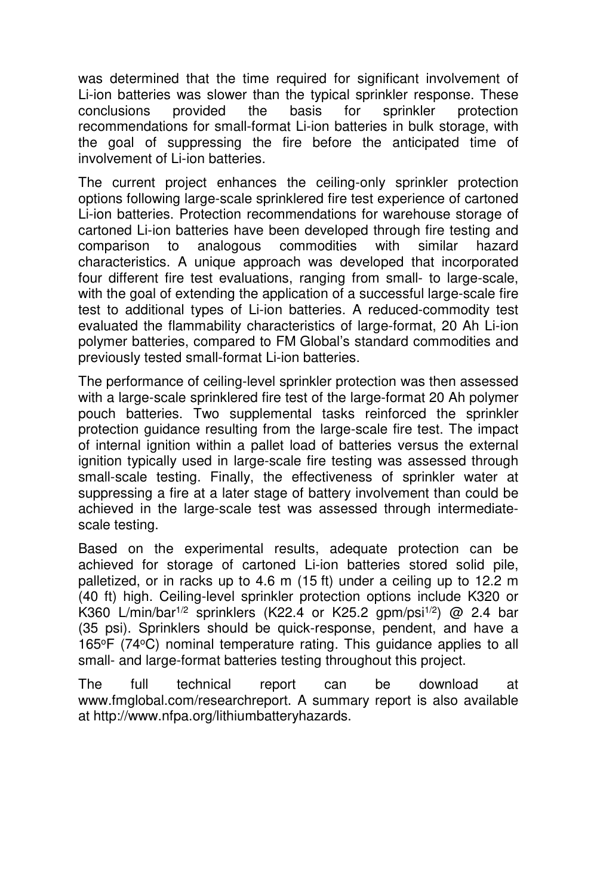was determined that the time required for significant involvement of Li-ion batteries was slower than the typical sprinkler response. These conclusions provided the basis for sprinkler protection recommendations for small-format Li-ion batteries in bulk storage, with the goal of suppressing the fire before the anticipated time of involvement of Li-ion batteries.

The current project enhances the ceiling-only sprinkler protection options following large-scale sprinklered fire test experience of cartoned Li-ion batteries. Protection recommendations for warehouse storage of cartoned Li-ion batteries have been developed through fire testing and comparison to analogous commodities with similar hazard characteristics. A unique approach was developed that incorporated four different fire test evaluations, ranging from small- to large-scale, with the goal of extending the application of a successful large-scale fire test to additional types of Li-ion batteries. A reduced-commodity test evaluated the flammability characteristics of large-format, 20 Ah Li-ion polymer batteries, compared to FM Global's standard commodities and previously tested small-format Li-ion batteries.

The performance of ceiling-level sprinkler protection was then assessed with a large-scale sprinklered fire test of the large-format 20 Ah polymer pouch batteries. Two supplemental tasks reinforced the sprinkler protection guidance resulting from the large-scale fire test. The impact of internal ignition within a pallet load of batteries versus the external ignition typically used in large-scale fire testing was assessed through small-scale testing. Finally, the effectiveness of sprinkler water at suppressing a fire at a later stage of battery involvement than could be achieved in the large-scale test was assessed through intermediatescale testing.

Based on the experimental results, adequate protection can be achieved for storage of cartoned Li-ion batteries stored solid pile, palletized, or in racks up to 4.6 m (15 ft) under a ceiling up to 12.2 m (40 ft) high. Ceiling-level sprinkler protection options include K320 or K360 L/min/bar<sup>1/2</sup> sprinklers (K22.4 or K25.2 gpm/psi<sup>1/2</sup>) @ 2.4 bar (35 psi). Sprinklers should be quick-response, pendent, and have a 165<sup>o</sup>F (74<sup>o</sup>C) nominal temperature rating. This guidance applies to all small- and large-format batteries testing throughout this project.

The full technical report can be download at www.fmglobal.com/researchreport. A summary report is also available at http://www.nfpa.org/lithiumbatteryhazards.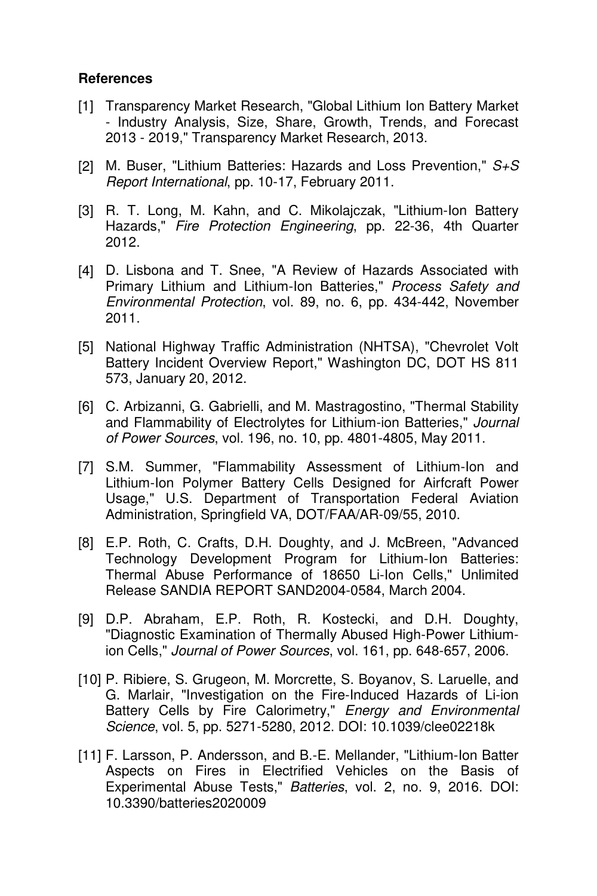## **References**

- [1] Transparency Market Research, "Global Lithium Ion Battery Market - Industry Analysis, Size, Share, Growth, Trends, and Forecast 2013 - 2019," Transparency Market Research, 2013.
- [2] M. Buser, "Lithium Batteries: Hazards and Loss Prevention,"  $S+S$ Report International, pp. 10-17, February 2011.
- [3] R. T. Long, M. Kahn, and C. Mikolajczak, "Lithium-Ion Battery Hazards," Fire Protection Engineering, pp. 22-36, 4th Quarter 2012.
- [4] D. Lisbona and T. Snee, "A Review of Hazards Associated with Primary Lithium and Lithium-Ion Batteries," Process Safety and Environmental Protection, vol. 89, no. 6, pp. 434-442, November 2011.
- [5] National Highway Traffic Administration (NHTSA), "Chevrolet Volt Battery Incident Overview Report," Washington DC, DOT HS 811 573, January 20, 2012.
- [6] C. Arbizanni, G. Gabrielli, and M. Mastragostino, "Thermal Stability and Flammability of Electrolytes for Lithium-ion Batteries," Journal of Power Sources, vol. 196, no. 10, pp. 4801-4805, May 2011.
- [7] S.M. Summer, "Flammability Assessment of Lithium-Ion and Lithium-Ion Polymer Battery Cells Designed for Airfcraft Power Usage," U.S. Department of Transportation Federal Aviation Administration, Springfield VA, DOT/FAA/AR-09/55, 2010.
- [8] E.P. Roth, C. Crafts, D.H. Doughty, and J. McBreen, "Advanced Technology Development Program for Lithium-Ion Batteries: Thermal Abuse Performance of 18650 Li-Ion Cells," Unlimited Release SANDIA REPORT SAND2004-0584, March 2004.
- [9] D.P. Abraham, E.P. Roth, R. Kostecki, and D.H. Doughty, "Diagnostic Examination of Thermally Abused High-Power Lithiumion Cells," Journal of Power Sources, vol. 161, pp. 648-657, 2006.
- [10] P. Ribiere, S. Grugeon, M. Morcrette, S. Boyanov, S. Laruelle, and G. Marlair, "Investigation on the Fire-Induced Hazards of Li-ion Battery Cells by Fire Calorimetry," Energy and Environmental Science, vol. 5, pp. 5271-5280, 2012. DOI: 10.1039/clee02218k
- [11] F. Larsson, P. Andersson, and B.-E. Mellander, "Lithium-Ion Batter Aspects on Fires in Electrified Vehicles on the Basis of Experimental Abuse Tests," Batteries, vol. 2, no. 9, 2016. DOI: 10.3390/batteries2020009